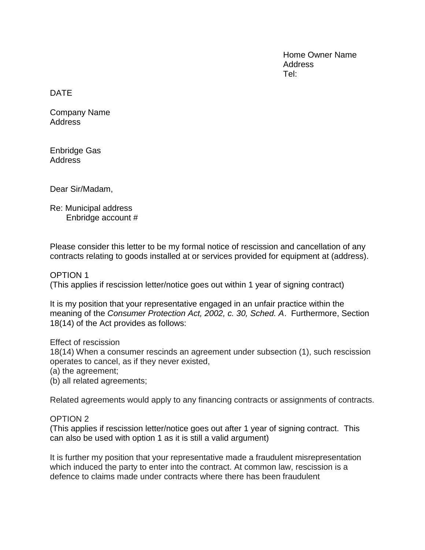Home Owner Name Address Tel:

DATE

Company Name Address

Enbridge Gas Address

Dear Sir/Madam,

Re: Municipal address Enbridge account #

Please consider this letter to be my formal notice of rescission and cancellation of any contracts relating to goods installed at or services provided for equipment at (address).

### OPTION 1

(This applies if rescission letter/notice goes out within 1 year of signing contract)

It is my position that your representative engaged in an unfair practice within the meaning of the *Consumer Protection Act, 2002, c. 30, Sched. A*. Furthermore, Section 18(14) of the Act provides as follows:

#### Effect of rescission

18(14) When a consumer rescinds an agreement under subsection (1), such rescission operates to cancel, as if they never existed,

(a) the agreement;

(b) all related agreements;

Related agreements would apply to any financing contracts or assignments of contracts.

#### OPTION 2

(This applies if rescission letter/notice goes out after 1 year of signing contract. This can also be used with option 1 as it is still a valid argument)

It is further my position that your representative made a fraudulent misrepresentation which induced the party to enter into the contract. At common law, rescission is a defence to claims made under contracts where there has been fraudulent